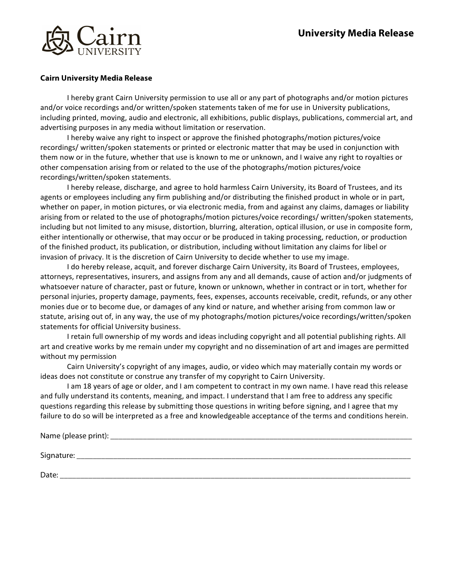

## **Cairn University Media Release**

I hereby grant Cairn University permission to use all or any part of photographs and/or motion pictures and/or voice recordings and/or written/spoken statements taken of me for use in University publications, including printed, moving, audio and electronic, all exhibitions, public displays, publications, commercial art, and advertising purposes in any media without limitation or reservation.

I hereby waive any right to inspect or approve the finished photographs/motion pictures/voice recordings/ written/spoken statements or printed or electronic matter that may be used in conjunction with them now or in the future, whether that use is known to me or unknown, and I waive any right to royalties or other compensation arising from or related to the use of the photographs/motion pictures/voice recordings/written/spoken statements.

I hereby release, discharge, and agree to hold harmless Cairn University, its Board of Trustees, and its agents or employees including any firm publishing and/or distributing the finished product in whole or in part, whether on paper, in motion pictures, or via electronic media, from and against any claims, damages or liability arising from or related to the use of photographs/motion pictures/voice recordings/ written/spoken statements, including but not limited to any misuse, distortion, blurring, alteration, optical illusion, or use in composite form, either intentionally or otherwise, that may occur or be produced in taking processing, reduction, or production of the finished product, its publication, or distribution, including without limitation any claims for libel or invasion of privacy. It is the discretion of Cairn University to decide whether to use my image.

I do hereby release, acquit, and forever discharge Cairn University, its Board of Trustees, employees, attorneys, representatives, insurers, and assigns from any and all demands, cause of action and/or judgments of whatsoever nature of character, past or future, known or unknown, whether in contract or in tort, whether for personal injuries, property damage, payments, fees, expenses, accounts receivable, credit, refunds, or any other monies due or to become due, or damages of any kind or nature, and whether arising from common law or statute, arising out of, in any way, the use of my photographs/motion pictures/voice recordings/written/spoken statements for official University business.

I retain full ownership of my words and ideas including copyright and all potential publishing rights. All art and creative works by me remain under my copyright and no dissemination of art and images are permitted without my permission

Cairn University's copyright of any images, audio, or video which may materially contain my words or ideas does not constitute or construe any transfer of my copyright to Cairn University.

I am 18 years of age or older, and I am competent to contract in my own name. I have read this release and fully understand its contents, meaning, and impact. I understand that I am free to address any specific questions regarding this release by submitting those questions in writing before signing, and I agree that my failure to do so will be interpreted as a free and knowledgeable acceptance of the terms and conditions herein.

| Name (please print): |  |  |  |
|----------------------|--|--|--|
|                      |  |  |  |
| Signature:           |  |  |  |
|                      |  |  |  |
| Date:                |  |  |  |